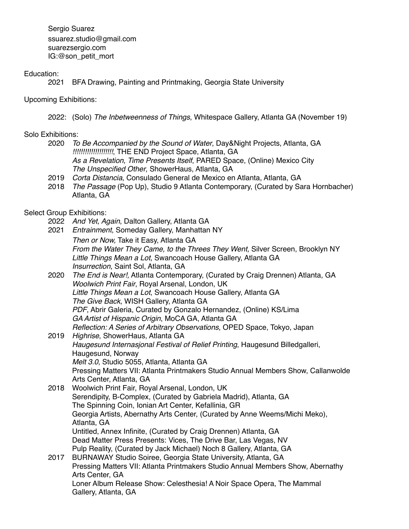Sergio Suarez ssuarez.studio@gmail.com suarezsergio.com IG:@son\_petit\_mort

# Education:

2021 BFA Drawing, Painting and Printmaking, Georgia State University

# Upcoming Exhibitions:

2022: (Solo) *The Inbetweenness of Things*, Whitespace Gallery, Atlanta GA (November 19)

# Solo Exhibitions:

- 2020 *To Be Accompanied by the Sound of Water*, Day&Night Projects, Atlanta, GA *!!!!!!!!!!!!!!!!!!!!*, THE END Project Space, Atlanta, GA *As a Revelation, Time Presents Itself*, PARED Space, (Online) Mexico City *The Unspecified Other*, ShowerHaus, Atlanta, GA
- 2019 *Corta Distancia*, Consulado General de Mexico en Atlanta, Atlanta, GA
- 2018 *The Passage* (Pop Up), Studio 9 Atlanta Contemporary, (Curated by Sara Hornbacher) Atlanta, GA

# Select Group Exhibitions:

- 2022 *And Yet, Again*, Dalton Gallery, Atlanta GA
- 2021 *Entrainment*, Someday Gallery, Manhattan NY
- *Then or Now,* Take it Easy, Atlanta GA *From the Water They Came, to the Threes They Went,* Silver Screen, Brooklyn NY *Little Things Mean a Lot*, Swancoach House Gallery, Atlanta GA *Insurrection*, Saint Sol, Atlanta, GA
- 2020 *The End is Near!,* Atlanta Contemporary, (Curated by Craig Drennen) Atlanta, GA *Woolwich Print Fair*, Royal Arsenal, London, UK *Little Things Mean a Lot*, Swancoach House Gallery, Atlanta GA *The Give Back*, WISH Gallery, Atlanta GA *PDF*, Abrir Galeria, Curated by Gonzalo Hernandez, (Online) KS/Lima *GA Artist of Hispanic Origin*, MoCA GA, Atlanta GA *Reflection: A Series of Arbitrary Observations*, OPED Space, Tokyo, Japan
- 2019 *Highrise*, ShowerHaus, Atlanta GA *Haugesund Internasjonal Festival of Relief Printing*, Haugesund Billedgalleri, Haugesund, Norway *Melt 3.0*, Studio 5055, Atlanta, Atlanta GA Pressing Matters VII: Atlanta Printmakers Studio Annual Members Show, Callanwolde Arts Center, Atlanta, GA
- 2018 Woolwich Print Fair, Royal Arsenal, London, UK Serendipity, B-Complex, (Curated by Gabriela Madrid), Atlanta, GA The Spinning Coin, Ionian Art Center, Kefallinia, GR Georgia Artists, Abernathy Arts Center, (Curated by Anne Weems/Michi Meko), Atlanta, GA Untitled, Annex Infinite, (Curated by Craig Drennen) Atlanta, GA Dead Matter Press Presents: Vices, The Drive Bar, Las Vegas, NV Pulp Reality, (Curated by Jack Michael) Noch 8 Gallery, Atlanta, GA 2017 BURNAWAY Studio Soiree, Georgia State University, Atlanta, GA Pressing Matters VII: Atlanta Printmakers Studio Annual Members Show, Abernathy Arts Center, GA
	- Loner Album Release Show: Celesthesia! A Noir Space Opera, The Mammal Gallery, Atlanta, GA